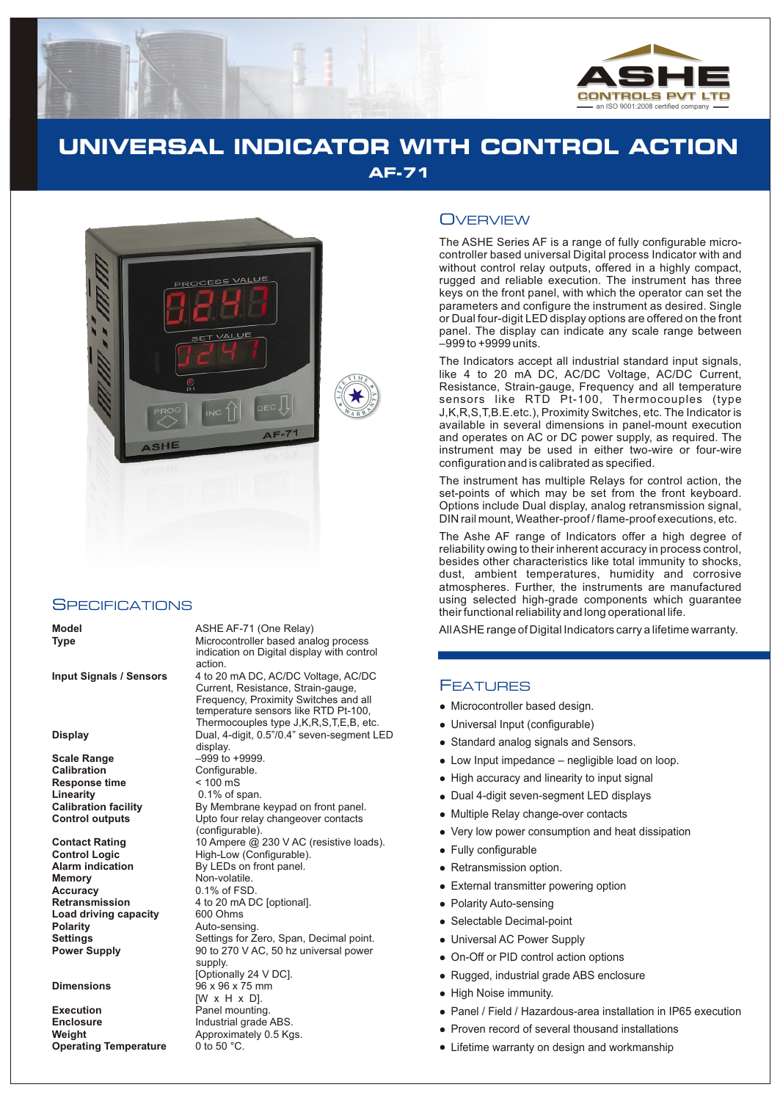

# **UNIVERSAL INDICATOR WITH CONTROL ACTION AF-71**



#### **SPECIFICATIONS**

**Scale Range**  $-999$  to +9999.<br> **Calibration** Configurable. **Response time**  $\leq 100 \text{ mS}$ <br> **Linearity** 0.1% of s

**Memory** Non-volatile. **Accuracy** 0.1% of FSD<br>**Retransmission** 4 to 20 mA D **Load driving capacity**<br>Polarity

**Execution** Panel mounting. **Enclosure** Industrial grade ABS.<br> **Weight Industrial Approximately 0.5 Kg Operating Temperature** 

**Model** ASHE AF-71 (One Relay) All ASHE range of Digital Indicators carry a lifetime warranty.<br> **Type** and the controller based analog process Microcontroller based analog process indication on Digital display with control action.

**Input Signals / Sensors** 4 to 20 mA DC, AC/DC Voltage, AC/DC Current, Resistance, Strain-gauge, Frequency, Proximity Switches and all temperature sensors like RTD Pt-100, Thermocouples type J,K,R,S,T,E,B, etc. **Display** Dual, 4-digit, 0.5"/0.4" seven-segment LED display. Configurable. **Linearity** 0.1% of span. **Calibration facility** By Membrane keypad on front panel.<br> **Control outputs** Upto four relay changeover contacts Upto four relay changeover contacts (configurable). **Contact Rating** 10 Ampere @ 230 V AC (resistive loads).<br> **Control Logic** High-Low (Configurable). **Control Logic High-Low (Configurable).**<br>**Alarm indication By LEDs on front panel. By LEDs on front panel.** 4 to 20 mA DC [optional].<br>600 Ohms **Polarity** Auto-sensing. **Settings** Settings for Zero, Span, Decimal point.<br> **Power Supply** 90 to 270 V AC, 50 hz universal power **Power Supply** 90 to 270 V AC, 50 hz universal power supply. [Optionally 24 V DC]. **Dimensions** 96 x 96 x 75 mm [W x H x D]. Approximately 0.5 Kgs.<br>0 to 50 °C.

## **OVERVIEW**

The ASHE Series AF is a range of fully configurable microcontroller based universal Digital process Indicator with and without control relay outputs, offered in a highly compact, rugged and reliable execution. The instrument has three keys on the front panel, with which the operator can set the parameters and configure the instrument as desired. Single or Dual four-digit LED display options are offered on the front panel. The display can indicate any scale range between –999 to +9999 units.

The Indicators accept all industrial standard input signals, like 4 to 20 mA DC, AC/DC Voltage, AC/DC Current, Resistance, Strain-gauge, Frequency and all temperature sensors like RTD Pt-100, Thermocouples (type J,K,R,S,T,B.E.etc.), Proximity Switches, etc. The Indicator is available in several dimensions in panel-mount execution and operates on AC or DC power supply, as required. The instrument may be used in either two-wire or four-wire configuration and is calibrated as specified.

The instrument has multiple Relays for control action, the set-points of which may be set from the front keyboard. Options include Dual display, analog retransmission signal, DIN rail mount, Weather-proof / flame-proof executions, etc.

The Ashe AF range of Indicators offer a high degree of reliability owing to their inherent accuracy in process control, besides other characteristics like total immunity to shocks, dust, ambient temperatures, humidity and corrosive atmospheres. Further, the instruments are manufactured using selected high-grade components which guarantee their functional reliability and long operational life.

#### FEATURES

- Microcontroller based design.
- Micro<br>• Unive<br>• Stand<br>• Low I<br>• High<br>• Dual<br>• Wery<br>• Fully<br>• Reta<br>• Dolar<br>• Dolar<br>• Dolar<br>• Dolar<br>• Dolar<br>• Dolar<br>• Dolar<br>• Dolar<br>• Dolar<br>• Dolar<br>• Dolar<br>• Polar<br>• Polar<br>• Polar<br>• Polar<br>• Polar<br>• Polar<br>• Polar<br>• Polar Universal Input (configurable)
- Standard analog signals and Sensors.
- Low Input impedance negligible load on loop.
- High accuracy and linearity to input signal
- Dual 4-digit seven-segment LED displays
- Multiple Relay change-over contacts
- Very low power consumption and heat dissipation
- Fully configurable
- Retransmission option.
- External transmitter powering option
- Polarity Auto-sensing
- Selectable Decimal-point
- Universal AC Power Supply
- On-Off or PID control action options
- Rugged, industrial grade ABS enclosure
- High Noise immunity.
- Panel / Field / Hazardous-area installation in IP65 execution
- Proven record of several thousand installations
- Lifetime warranty on design and workmanship